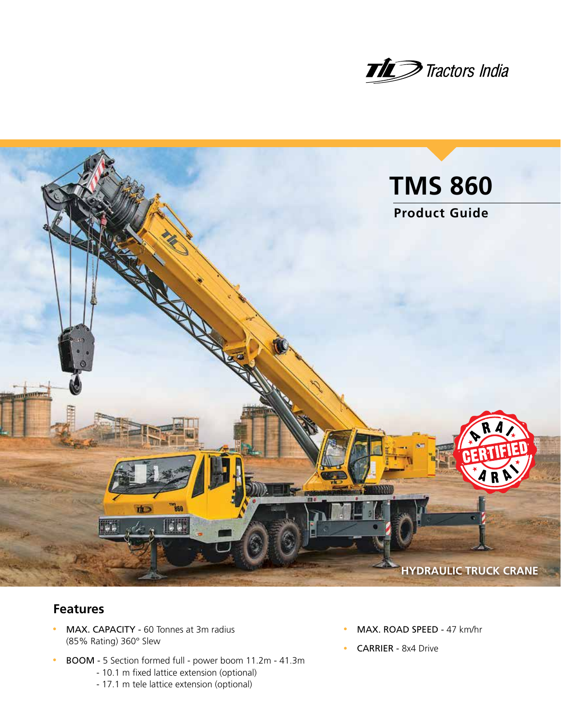



## **Features**

- MAX. CAPACITY 60 Tonnes at 3m radius (85% Rating) 360° Slew
- BOOM 5 Section formed full power boom 11.2m 41.3m
	- 10.1 m fixed lattice extension (optional)
	- 17.1 m tele lattice extension (optional)
- MAX. ROAD SPEED 47 km/hr
- CARRIER 8x4 Drive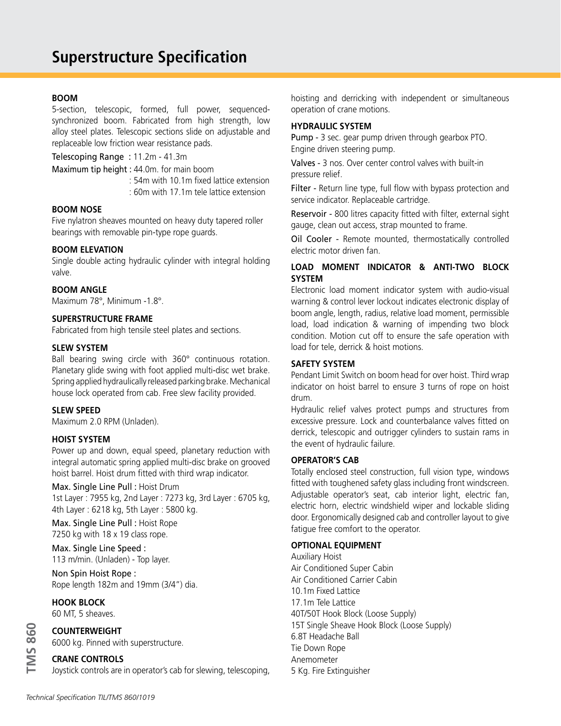#### **BOOM**

5-section, telescopic, formed, full power, sequencedsynchronized boom. Fabricated from high strength, low alloy steel plates. Telescopic sections slide on adjustable and replaceable low friction wear resistance pads.

Telescoping Range : 11.2m - 41.3m

Maximum tip height : 44.0m. for main boom

: 54m with 10.1m fixed lattice extension

: 60m with 17.1m tele lattice extension

#### **BOOM NOSE**

Five nylatron sheaves mounted on heavy duty tapered roller bearings with removable pin-type rope guards.

#### **BOOM ELEVATION**

Single double acting hydraulic cylinder with integral holding valve.

#### **BOOM ANGLE**

Maximum 78°, Minimum -1.8°.

#### **SUPERSTRUCTURE FRAME**

Fabricated from high tensile steel plates and sections.

#### **SLEW SYSTEM**

Ball bearing swing circle with 360° continuous rotation. Planetary glide swing with foot applied multi-disc wet brake. Spring applied hydraulically released parking brake. Mechanical house lock operated from cab. Free slew facility provided.

#### **SLEW SPEED**

Maximum 2.0 RPM (Unladen).

#### **HOIST SYSTEM**

Power up and down, equal speed, planetary reduction with integral automatic spring applied multi-disc brake on grooved hoist barrel. Hoist drum fitted with third wrap indicator.

#### Max. Single Line Pull : Hoist Drum 1st Layer : 7955 kg, 2nd Layer : 7273 kg, 3rd Layer : 6705 kg, 4th Layer : 6218 kg, 5th Layer : 5800 kg.

Max. Single Line Pull : Hoist Rope 7250 kg with 18 x 19 class rope.

Max. Single Line Speed : 113 m/min. (Unladen) - Top layer.

Non Spin Hoist Rope : Rope length 182m and 19mm (3/4") dia.

#### **HOOK BLOCK**

**TMS 860**

**IMS 860** 

60 MT, 5 sheaves.

### **COUNTERWEIGHT**

6000 kg. Pinned with superstructure.

#### **CRANE CONTROLS**

Joystick controls are in operator's cab for slewing, telescoping,

hoisting and derricking with independent or simultaneous operation of crane motions.

#### **HYDRAULIC SYSTEM**

Pump - 3 sec. gear pump driven through gearbox PTO. Engine driven steering pump.

Valves - 3 nos. Over center control valves with built-in pressure relief.

Filter - Return line type, full flow with bypass protection and service indicator. Replaceable cartridge.

Reservoir - 800 litres capacity fitted with filter, external sight gauge, clean out access, strap mounted to frame.

Oil Cooler - Remote mounted, thermostatically controlled electric motor driven fan.

### **LOAD MOMENT INDICATOR & ANTI-TWO BLOCK SYSTEM**

Electronic load moment indicator system with audio-visual warning & control lever lockout indicates electronic display of boom angle, length, radius, relative load moment, permissible load, load indication & warning of impending two block condition. Motion cut off to ensure the safe operation with load for tele, derrick & hoist motions.

#### **SAFETY SYSTEM**

Pendant Limit Switch on boom head for over hoist. Third wrap indicator on hoist barrel to ensure 3 turns of rope on hoist drum.

Hydraulic relief valves protect pumps and structures from excessive pressure. Lock and counterbalance valves fitted on derrick, telescopic and outrigger cylinders to sustain rams in the event of hydraulic failure.

#### **OPERATOR'S CAB**

Totally enclosed steel construction, full vision type, windows fitted with toughened safety glass including front windscreen. Adjustable operator's seat, cab interior light, electric fan, electric horn, electric windshield wiper and lockable sliding door. Ergonomically designed cab and controller layout to give fatigue free comfort to the operator.

#### **OPTIONAL EQUIPMENT**

Auxiliary Hoist Air Conditioned Super Cabin Air Conditioned Carrier Cabin 10.1m Fixed Lattice 17.1m Tele Lattice 40T/50T Hook Block (Loose Supply) 15T Single Sheave Hook Block (Loose Supply) 6.8T Headache Ball Tie Down Rope Anemometer 5 Kg. Fire Extinguisher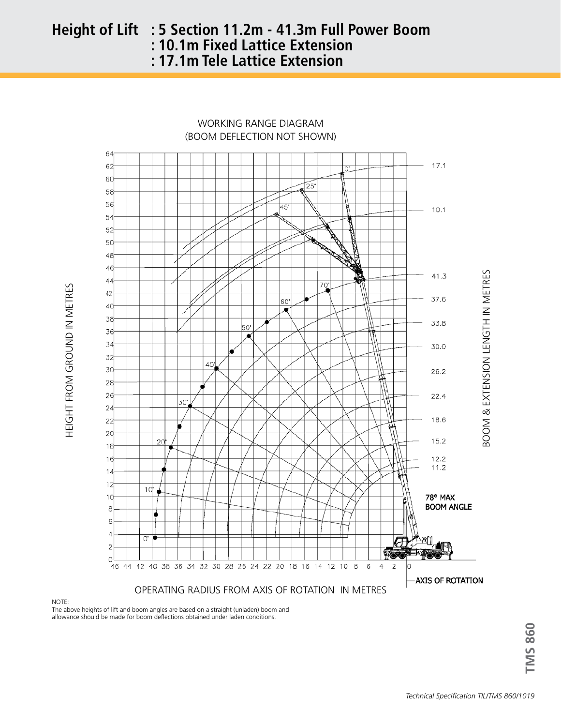# **Height of Lift : 5 Section 11.2m - 41.3m Full Power Boom 10.1m Fixed Lattice Extension : 10.1m Fixed Lattice Extension : 17.1m Tele Lattice Extension**



HEIGHT FROM GROUND IN METRES HEIGHT FROM GROUND IN METRES

NOTE:

The above heights of lift and boom angles are based on a straight (unladen) boom and allowance should be made for boom deflections obtained under laden conditions.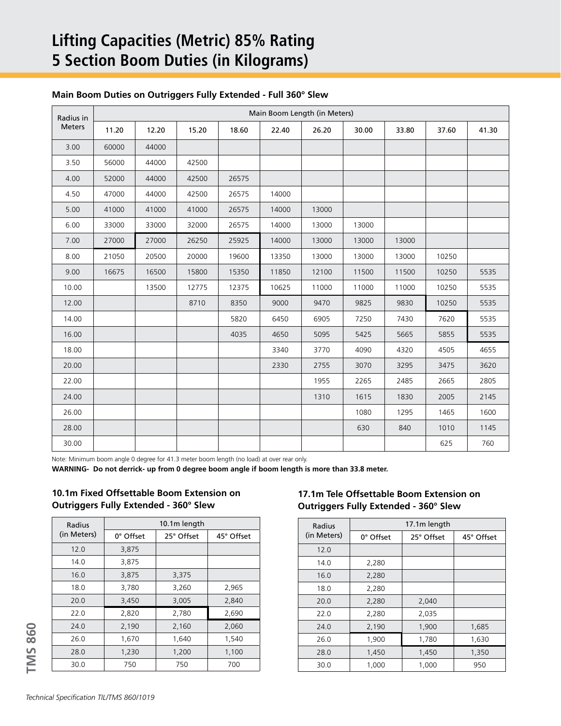# **Lifting Capacities (Metric) 85% Rating 5 Section Boom Duties (in Kilograms)**

| Radius in<br><b>Meters</b> | Main Boom Length (in Meters) |       |       |       |       |       |       |       |       |       |
|----------------------------|------------------------------|-------|-------|-------|-------|-------|-------|-------|-------|-------|
|                            | 11.20                        | 12.20 | 15.20 | 18.60 | 22.40 | 26.20 | 30.00 | 33.80 | 37.60 | 41.30 |
| 3.00                       | 60000                        | 44000 |       |       |       |       |       |       |       |       |
| 3.50                       | 56000                        | 44000 | 42500 |       |       |       |       |       |       |       |
| 4.00                       | 52000                        | 44000 | 42500 | 26575 |       |       |       |       |       |       |
| 4.50                       | 47000                        | 44000 | 42500 | 26575 | 14000 |       |       |       |       |       |
| 5.00                       | 41000                        | 41000 | 41000 | 26575 | 14000 | 13000 |       |       |       |       |
| 6.00                       | 33000                        | 33000 | 32000 | 26575 | 14000 | 13000 | 13000 |       |       |       |
| 7.00                       | 27000                        | 27000 | 26250 | 25925 | 14000 | 13000 | 13000 | 13000 |       |       |
| 8.00                       | 21050                        | 20500 | 20000 | 19600 | 13350 | 13000 | 13000 | 13000 | 10250 |       |
| 9.00                       | 16675                        | 16500 | 15800 | 15350 | 11850 | 12100 | 11500 | 11500 | 10250 | 5535  |
| 10.00                      |                              | 13500 | 12775 | 12375 | 10625 | 11000 | 11000 | 11000 | 10250 | 5535  |
| 12.00                      |                              |       | 8710  | 8350  | 9000  | 9470  | 9825  | 9830  | 10250 | 5535  |
| 14.00                      |                              |       |       | 5820  | 6450  | 6905  | 7250  | 7430  | 7620  | 5535  |
| 16.00                      |                              |       |       | 4035  | 4650  | 5095  | 5425  | 5665  | 5855  | 5535  |
| 18.00                      |                              |       |       |       | 3340  | 3770  | 4090  | 4320  | 4505  | 4655  |
| 20.00                      |                              |       |       |       | 2330  | 2755  | 3070  | 3295  | 3475  | 3620  |
| 22.00                      |                              |       |       |       |       | 1955  | 2265  | 2485  | 2665  | 2805  |
| 24.00                      |                              |       |       |       |       | 1310  | 1615  | 1830  | 2005  | 2145  |
| 26.00                      |                              |       |       |       |       |       | 1080  | 1295  | 1465  | 1600  |
| 28.00                      |                              |       |       |       |       |       | 630   | 840   | 1010  | 1145  |
| 30.00                      |                              |       |       |       |       |       |       |       | 625   | 760   |

#### **Main Boom Duties on Outriggers Fully Extended - Full 360° Slew**

Note: Minimum boom angle 0 degree for 41.3 meter boom length (no load) at over rear only.

**WARNING- Do not derrick- up from 0 degree boom angle if boom length is more than 33.8 meter.**

**10.1m Fixed Offsettable Boom Extension on Outriggers Fully Extended - 360° Slew** 

| Radius        | 10.1m length |            |            |  |  |  |  |
|---------------|--------------|------------|------------|--|--|--|--|
| (in Meters)   | 0° Offset    | 25° Offset | 45° Offset |  |  |  |  |
| 12.0          | 3,875        |            |            |  |  |  |  |
| 14.0          | 3,875        |            |            |  |  |  |  |
| 16.0          | 3,875        | 3,375      |            |  |  |  |  |
| 18.0          | 3,780        | 3,260      | 2,965      |  |  |  |  |
| 20.0<br>3,450 |              | 3,005      | 2,840      |  |  |  |  |
| 22.0          | 2,820        | 2,780      | 2,690      |  |  |  |  |
| 24.0          | 2,190        | 2,160      | 2,060      |  |  |  |  |
| 26.0          | 1,670        | 1,640      | 1,540      |  |  |  |  |
| 28.0          | 1,230        | 1,200      | 1,100      |  |  |  |  |
| 30.0          | 750          | 750        | 700        |  |  |  |  |

## **17.1m Tele Offsettable Boom Extension on Outriggers Fully Extended - 360° Slew**

| Radius      | 17.1m length |            |            |  |  |  |  |
|-------------|--------------|------------|------------|--|--|--|--|
| (in Meters) | 0° Offset    | 25° Offset | 45° Offset |  |  |  |  |
| 12.0        |              |            |            |  |  |  |  |
| 14.0        | 2,280        |            |            |  |  |  |  |
| 16.0        | 2,280        |            |            |  |  |  |  |
| 18.0        | 2,280        |            |            |  |  |  |  |
| 20.0        | 2,280        | 2,040      |            |  |  |  |  |
| 22.0        | 2,280        | 2,035      |            |  |  |  |  |
| 24.0        | 2,190        | 1,900      | 1,685      |  |  |  |  |
| 26.0        | 1,900        | 1,780      | 1,630      |  |  |  |  |
| 28.0        | 1,450        | 1,450      | 1,350      |  |  |  |  |
| 30.0        | 1,000        | 1,000      | 950        |  |  |  |  |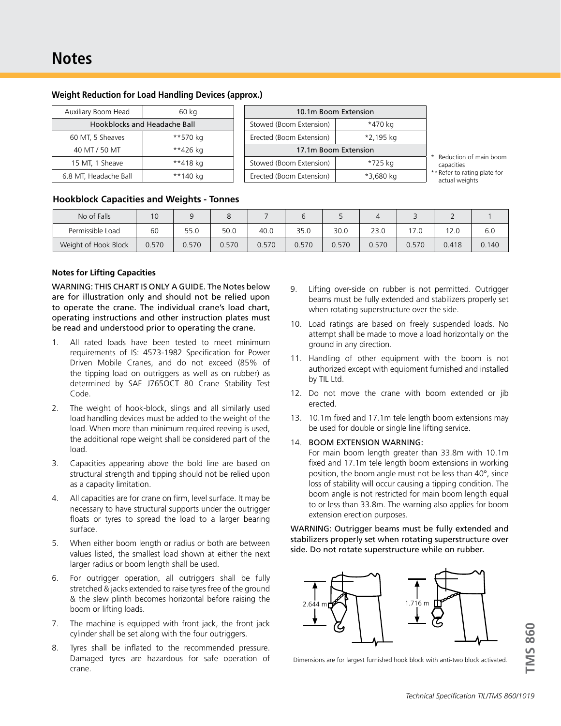| Auxiliary Boom Head          | 60 kg    |  |  |
|------------------------------|----------|--|--|
| Hookblocks and Headache Ball |          |  |  |
| 60 MT, 5 Sheaves             | **570 kg |  |  |
| 40 MT / 50 MT                | **426 kg |  |  |
| 15 MT, 1 Sheave              | **418 kg |  |  |
| 6.8 MT, Headache Ball        | **140 kg |  |  |

#### **Weight Reduction for Load Handling Devices (approx.)**

| 10.1m Boom Extension     |           |  |  |  |  |  |
|--------------------------|-----------|--|--|--|--|--|
| Stowed (Boom Extension)  | *470 kg   |  |  |  |  |  |
| Erected (Boom Extension) | *2,195 kg |  |  |  |  |  |
| 17.1m Boom Extension     |           |  |  |  |  |  |
| Stowed (Boom Extension)  | *725 kg   |  |  |  |  |  |
| Erected (Boom Extension) | *3,680 kg |  |  |  |  |  |

\* Reduction of main boom capacities \*\* Refer to rating plate for

actual weights

#### **Hookblock Capacities and Weights - Tonnes**

| No of Falls          | 10    |       |       |       |       |       |       |       |       |       |
|----------------------|-------|-------|-------|-------|-------|-------|-------|-------|-------|-------|
| Permissible Load     | 60    | 55.0  | 50.0  | 40.0  | 35.0  | 30.0  | 23.0  | 17.0  | 12.0  | 6.0   |
| Weight of Hook Block | 0.570 | 0.570 | ).570 | 0.570 | 0.570 | 0.570 | 0.570 | 0.570 | 0.418 | 0.140 |

#### **Notes for Lifting Capacities**

WARNING: THIS CHART IS ONLY A GUIDE. The Notes below are for illustration only and should not be relied upon to operate the crane. The individual crane's load chart, operating instructions and other instruction plates must be read and understood prior to operating the crane.

- 1. All rated loads have been tested to meet minimum requirements of IS: 4573-1982 Specification for Power Driven Mobile Cranes, and do not exceed (85% of the tipping load on outriggers as well as on rubber) as determined by SAE J765OCT 80 Crane Stability Test Code.
- 2. The weight of hook-block, slings and all similarly used load handling devices must be added to the weight of the load. When more than minimum required reeving is used, the additional rope weight shall be considered part of the load.
- 3. Capacities appearing above the bold line are based on structural strength and tipping should not be relied upon as a capacity limitation.
- 4. All capacities are for crane on firm, level surface. It may be necessary to have structural supports under the outrigger floats or tyres to spread the load to a larger bearing surface.
- 5. When either boom length or radius or both are between values listed, the smallest load shown at either the next larger radius or boom length shall be used.
- 6. For outrigger operation, all outriggers shall be fully stretched & jacks extended to raise tyres free of the ground & the slew plinth becomes horizontal before raising the boom or lifting loads.
- 7. The machine is equipped with front jack, the front jack cylinder shall be set along with the four outriggers.
- 8. Tyres shall be inflated to the recommended pressure. Damaged tyres are hazardous for safe operation of crane.
- 9. Lifting over-side on rubber is not permitted. Outrigger beams must be fully extended and stabilizers properly set when rotating superstructure over the side.
- 10. Load ratings are based on freely suspended loads. No attempt shall be made to move a load horizontally on the ground in any direction.
- 11. Handling of other equipment with the boom is not authorized except with equipment furnished and installed by TIL Ltd.
- 12. Do not move the crane with boom extended or jib erected.
- 13. 10.1m fixed and 17.1m tele length boom extensions may be used for double or single line lifting service.

#### 14. BOOM EXTENSION WARNING:

For main boom length greater than 33.8m with 10.1m fixed and 17.1m tele length boom extensions in working position, the boom angle must not be less than 40°, since loss of stability will occur causing a tipping condition. The boom angle is not restricted for main boom length equal to or less than 33.8m. The warning also applies for boom extension erection purposes.

WARNING: Outrigger beams must be fully extended and stabilizers properly set when rotating superstructure over side. Do not rotate superstructure while on rubber.



Dimensions are for largest furnished hook block with anti-two block activated.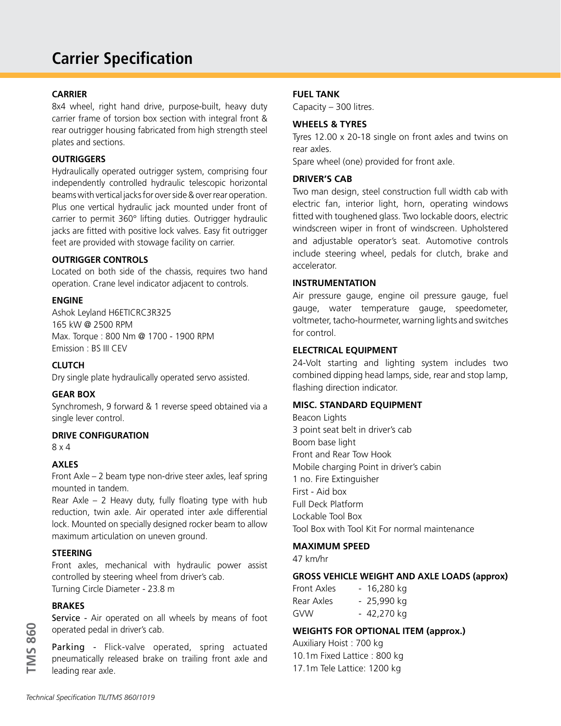# **Carrier Specification**

## **CARRIER**

8x4 wheel, right hand drive, purpose-built, heavy duty carrier frame of torsion box section with integral front & rear outrigger housing fabricated from high strength steel plates and sections.

## **OUTRIGGERS**

Hydraulically operated outrigger system, comprising four independently controlled hydraulic telescopic horizontal beams with vertical jacks for over side & over rear operation. Plus one vertical hydraulic jack mounted under front of carrier to permit 360° lifting duties. Outrigger hydraulic jacks are fitted with positive lock valves. Easy fit outrigger feet are provided with stowage facility on carrier.

## **OUTRIGGER CONTROLS**

Located on both side of the chassis, requires two hand operation. Crane level indicator adjacent to controls.

#### **ENGINE**

Ashok Leyland H6ETICRC3R325 165 kW @ 2500 RPM Max. Torque : 800 Nm @ 1700 - 1900 RPM Emission : BS III CEV

## **CLUTCH**

Dry single plate hydraulically operated servo assisted.

#### **GEAR BOX**

Synchromesh, 9 forward & 1 reverse speed obtained via a single lever control.

#### **DRIVE CONFIGURATION**

8 x 4

#### **AXLES**

Front Axle – 2 beam type non-drive steer axles, leaf spring mounted in tandem.

Rear Axle – 2 Heavy duty, fully floating type with hub reduction, twin axle. Air operated inter axle differential lock. Mounted on specially designed rocker beam to allow maximum articulation on uneven ground.

#### **STEERING**

Front axles, mechanical with hydraulic power assist controlled by steering wheel from driver's cab. Turning Circle Diameter - 23.8 m

#### **BRAKES**

Service - Air operated on all wheels by means of foot operated pedal in driver's cab.

Parking - Flick-valve operated, spring actuated pneumatically released brake on trailing front axle and leading rear axle.

## **FUEL TANK**

Capacity – 300 litres.

## **WHEELS & TYRES**

Tyres 12.00 x 20-18 single on front axles and twins on rear axles.

Spare wheel (one) provided for front axle.

## **DRIVER'S CAB**

Two man design, steel construction full width cab with electric fan, interior light, horn, operating windows fitted with toughened glass. Two lockable doors, electric windscreen wiper in front of windscreen. Upholstered and adjustable operator's seat. Automotive controls include steering wheel, pedals for clutch, brake and accelerator.

#### **INSTRUMENTATION**

Air pressure gauge, engine oil pressure gauge, fuel gauge, water temperature gauge, speedometer, voltmeter, tacho-hourmeter, warning lights and switches for control.

#### **ELECTRICAL EQUIPMENT**

24-Volt starting and lighting system includes two combined dipping head lamps, side, rear and stop lamp, flashing direction indicator.

#### **MISC. STANDARD EQUIPMENT**

Beacon Lights 3 point seat belt in driver's cab Boom base light Front and Rear Tow Hook Mobile charging Point in driver's cabin 1 no. Fire Extinguisher First - Aid box Full Deck Platform Lockable Tool Box Tool Box with Tool Kit For normal maintenance

#### **MAXIMUM SPEED**

47 km/hr

#### **GROSS VEHICLE WEIGHT AND AXLE LOADS (approx)**

| Front Axles | $-16,280$ kg |
|-------------|--------------|
| Rear Axles  | - 25,990 kg  |
| GVW         | - 42,270 kg  |

## **WEIGHTS FOR OPTIONAL ITEM (approx.)**

Auxiliary Hoist : 700 kg 10.1m Fixed Lattice : 800 kg 17.1m Tele Lattice: 1200 kg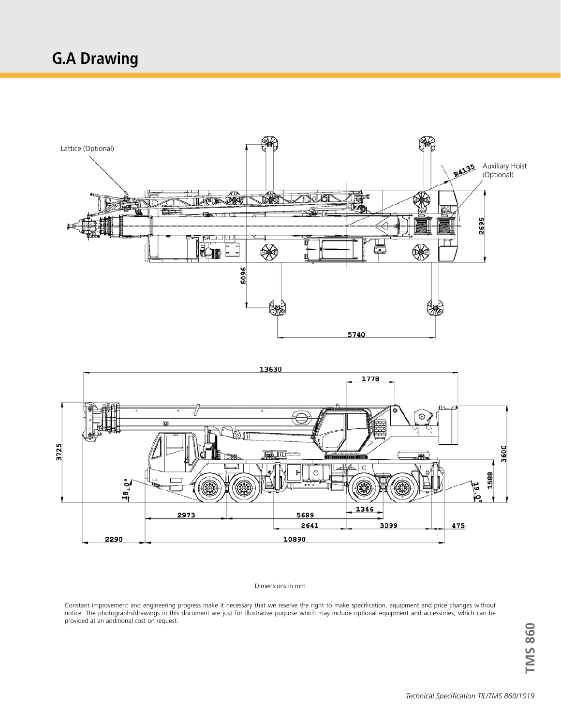



#### Dimensions in mm

Constant improvement and engineering progress make it necessary that we reserve the right to make specification, equipment and price changes without notice. The photographs/drawings in this document are just for Illustrative purpose which may include optional equipment and accessories, which can be provided at an additional cost on request.